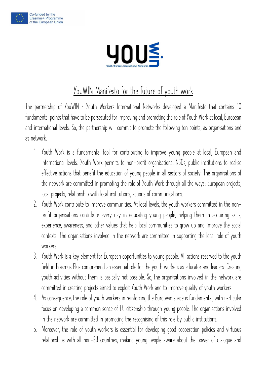



## **YouWIN Manifesto for the future of youth work**

**The partnership of YouWIN – Youth Workers International Networks developed a Manifesto that contains 10 fundamental points that have to be persecuted for improving and promoting the role of Youth Work at local, European and international levels. So, the partnership will commit to promote the following ten points, as organisations and as network.**

- **1. Youth Work is a fundamental tool for contributing to improve young people at local, European and international levels. Youth Work permits to non-profit organisations, NGOs, public institutions to realise effective actions that benefit the education of young people in all sectors of society. The organisations of the network are committed in promoting the role of Youth Work through all the ways: European projects, local projects, relationship with local institutions, actions of communications.**
- **2. Youth Work contribute to improve communities. At local levels, the youth workers committed in the nonprofit organisations contribute every day in educating young people, helping them in acquiring skills, experience, awareness, and other values that help local communities to grow up and improve the social contexts. The organisations involved in the network are committed in supporting the local role of youth workers.**
- **3. Youth Work is a key element for European opportunities to young people. All actions reserved to the youth field in Erasmus Plus comprehend an essential role for the youth workers as educator and leaders. Creating youth activities without them is basically not possible. So, the organisations involved in the network are committed in creating projects aimed to exploit Youth Work and to improve quality of youth workers.**
- **4. As consequence, the role of youth workers in reinforcing the European space is fundamental, with particular focus on developing a common sense of EU citizenship through young people. The organisations involved in the network are committed in promoting the recognising of this role by public institutions.**
- **5. Moreover, the role of youth workers is essential for developing good cooperation policies and virtuous relationships with all non-EU countries, making young people aware about the power of dialogue and**